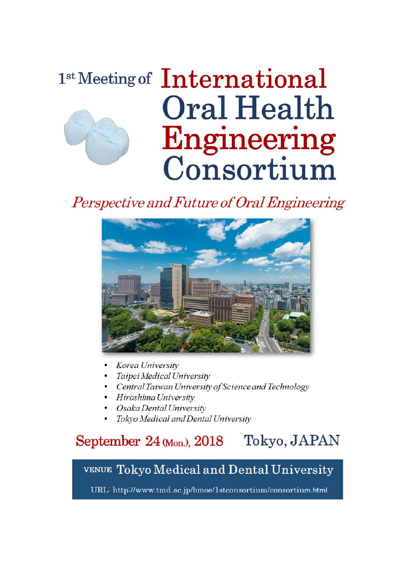# 1st Meeting of International Oral Health Engineering Consortium

# Perspective and Future of Oral Engineering



- Korea University
- Taipei Medical University
- Central Taiwan University of Science and Technology
- Hiroshima University
- Osaka Dental University
- Tokyo Medical and Dental University

### Tokyo, JAPAN September  $24$  (Mon.),  $2018$

# VENUE Tokyo Medical and Dental University

URL: http://www.tmd.ac.jp/bmoe/1stconsortium/consortium.html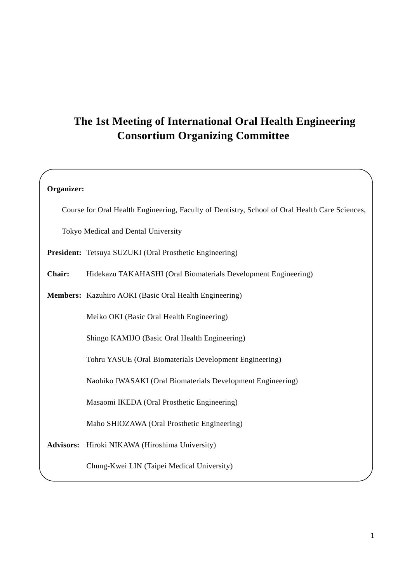# **The 1st Meeting of International Oral Health Engineering Consortium Organizing Committee**

| Organizer:                                                                                     |                                                                |  |  |
|------------------------------------------------------------------------------------------------|----------------------------------------------------------------|--|--|
| Course for Oral Health Engineering, Faculty of Dentistry, School of Oral Health Care Sciences, |                                                                |  |  |
| Tokyo Medical and Dental University                                                            |                                                                |  |  |
|                                                                                                | President: Tetsuya SUZUKI (Oral Prosthetic Engineering)        |  |  |
| Chair:                                                                                         | Hidekazu TAKAHASHI (Oral Biomaterials Development Engineering) |  |  |
|                                                                                                | Members: Kazuhiro AOKI (Basic Oral Health Engineering)         |  |  |
|                                                                                                | Meiko OKI (Basic Oral Health Engineering)                      |  |  |
|                                                                                                | Shingo KAMIJO (Basic Oral Health Engineering)                  |  |  |
|                                                                                                | Tohru YASUE (Oral Biomaterials Development Engineering)        |  |  |
|                                                                                                | Naohiko IWASAKI (Oral Biomaterials Development Engineering)    |  |  |
|                                                                                                | Masaomi IKEDA (Oral Prosthetic Engineering)                    |  |  |
|                                                                                                | Maho SHIOZAWA (Oral Prosthetic Engineering)                    |  |  |
| <b>Advisors:</b>                                                                               | Hiroki NIKAWA (Hiroshima University)                           |  |  |
|                                                                                                | Chung-Kwei LIN (Taipei Medical University)                     |  |  |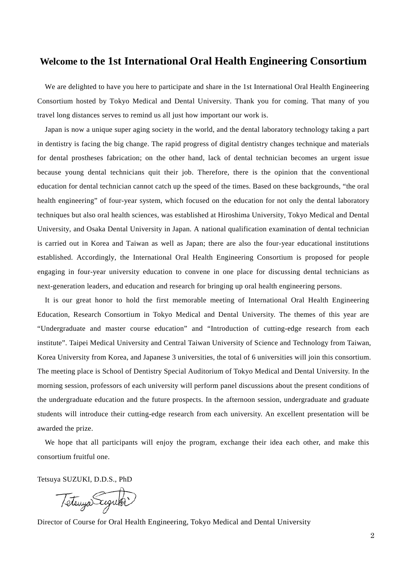### **Welcome to the 1st International Oral Health Engineering Consortium**

We are delighted to have you here to participate and share in the 1st International Oral Health Engineering Consortium hosted by Tokyo Medical and Dental University. Thank you for coming. That many of you travel long distances serves to remind us all just how important our work is.

Japan is now a unique super aging society in the world, and the dental laboratory technology taking a part in dentistry is facing the big change. The rapid progress of digital dentistry changes technique and materials for dental prostheses fabrication; on the other hand, lack of dental technician becomes an urgent issue because young dental technicians quit their job. Therefore, there is the opinion that the conventional education for dental technician cannot catch up the speed of the times. Based on these backgrounds, "the oral health engineering" of four-year system, which focused on the education for not only the dental laboratory techniques but also oral health sciences, was established at Hiroshima University, Tokyo Medical and Dental University, and Osaka Dental University in Japan. A national qualification examination of dental technician is carried out in Korea and Taiwan as well as Japan; there are also the four-year educational institutions established. Accordingly, the International Oral Health Engineering Consortium is proposed for people engaging in four-year university education to convene in one place for discussing dental technicians as next-generation leaders, and education and research for bringing up oral health engineering persons.

It is our great honor to hold the first memorable meeting of International Oral Health Engineering Education, Research Consortium in Tokyo Medical and Dental University. The themes of this year are "Undergraduate and master course education" and "Introduction of cutting-edge research from each institute". Taipei Medical University and Central Taiwan University of Science and Technology from Taiwan, Korea University from Korea, and Japanese 3 universities, the total of 6 universities will join this consortium. The meeting place is School of Dentistry Special Auditorium of Tokyo Medical and Dental University. In the morning session, professors of each university will perform panel discussions about the present conditions of the undergraduate education and the future prospects. In the afternoon session, undergraduate and graduate students will introduce their cutting-edge research from each university. An excellent presentation will be awarded the prize.

We hope that all participants will enjoy the program, exchange their idea each other, and make this consortium fruitful one.

Tetsuya SUZUKI, D.D.S., PhD

Tetenya Suguri

Director of Course for Oral Health Engineering, Tokyo Medical and Dental University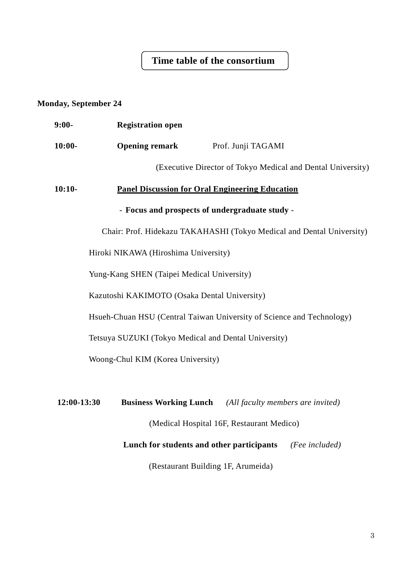## **Time table of the consortium**

### **Monday, September 24**

| $9:00-$                                                               | <b>Registration open</b>                               |                                                                 |  |  |  |
|-----------------------------------------------------------------------|--------------------------------------------------------|-----------------------------------------------------------------|--|--|--|
| $10:00-$                                                              | <b>Opening remark</b>                                  | Prof. Junji TAGAMI                                              |  |  |  |
|                                                                       |                                                        | (Executive Director of Tokyo Medical and Dental University)     |  |  |  |
| $10:10-$                                                              | <b>Panel Discussion for Oral Engineering Education</b> |                                                                 |  |  |  |
| - Focus and prospects of undergraduate study -                        |                                                        |                                                                 |  |  |  |
| Chair: Prof. Hidekazu TAKAHASHI (Tokyo Medical and Dental University) |                                                        |                                                                 |  |  |  |
| Hiroki NIKAWA (Hiroshima University)                                  |                                                        |                                                                 |  |  |  |
| Yung-Kang SHEN (Taipei Medical University)                            |                                                        |                                                                 |  |  |  |
|                                                                       | Kazutoshi KAKIMOTO (Osaka Dental University)           |                                                                 |  |  |  |
| Hsueh-Chuan HSU (Central Taiwan University of Science and Technology) |                                                        |                                                                 |  |  |  |
| Tetsuya SUZUKI (Tokyo Medical and Dental University)                  |                                                        |                                                                 |  |  |  |
| Woong-Chul KIM (Korea University)                                     |                                                        |                                                                 |  |  |  |
|                                                                       |                                                        |                                                                 |  |  |  |
| 12:00-13:30                                                           |                                                        | <b>Business Working Lunch</b> (All faculty members are invited) |  |  |  |
| (Medical Hospital 16F, Restaurant Medico)                             |                                                        |                                                                 |  |  |  |
| Lunch for students and other participants<br>(Fee included)           |                                                        |                                                                 |  |  |  |
| (Restaurant Building 1F, Arumeida)                                    |                                                        |                                                                 |  |  |  |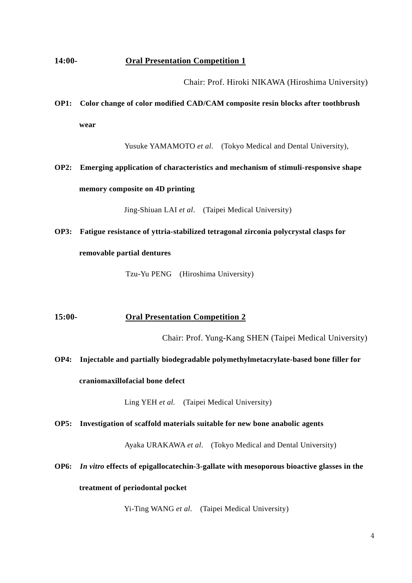### **14:00- Oral Presentation Competition 1**

Chair: Prof. Hiroki NIKAWA (Hiroshima University)

# **OP1: Color change of color modified CAD/CAM composite resin blocks after toothbrush wear**

Yusuke YAMAMOTO *et al*. (Tokyo Medical and Dental University),

# **OP2: Emerging application of characteristics and mechanism of stimuli-responsive shape memory composite on 4D printing**

Jing-Shiuan LAI *et al*. (Taipei Medical University)

# **OP3: Fatigue resistance of yttria-stabilized tetragonal zirconia polycrystal clasps for removable partial dentures**

Tzu-Yu PENG (Hiroshima University)

### **15:00- Oral Presentation Competition 2**

Chair: Prof. Yung-Kang SHEN (Taipei Medical University)

# **OP4: Injectable and partially biodegradable polymethylmetacrylate-based bone filler for craniomaxillofacial bone defect**

Ling YEH *et al.* (Taipei Medical University)

### **OP5: Investigation of scaffold materials suitable for new bone anabolic agents**

Ayaka URAKAWA *et al*. (Tokyo Medical and Dental University)

### **OP6:** *In vitro* **effects of epigallocatechin-3-gallate with mesoporous bioactive glasses in the**

### **treatment of periodontal pocket**

Yi-Ting WANG *et al*. (Taipei Medical University)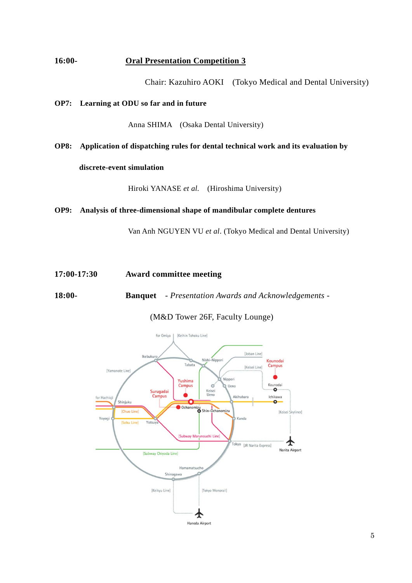### **16:00- Oral Presentation Competition 3**

Chair: Kazuhiro AOKI (Tokyo Medical and Dental University)

### **OP7: Learning at ODU so far and in future**

Anna SHIMA (Osaka Dental University)

**OP8: Application of dispatching rules for dental technical work and its evaluation by** 

### **discrete-event simulation**

Hiroki YANASE *et al.* (Hiroshima University)

### **OP9: Analysis of three-dimensional shape of mandibular complete dentures**

Van Anh NGUYEN VU *et al*. (Tokyo Medical and Dental University)

**17:00-17:30 Award committee meeting**

**18:00- Banquet** *- Presentation Awards and Acknowledgements -*

(M&D Tower 26F, Faculty Lounge)

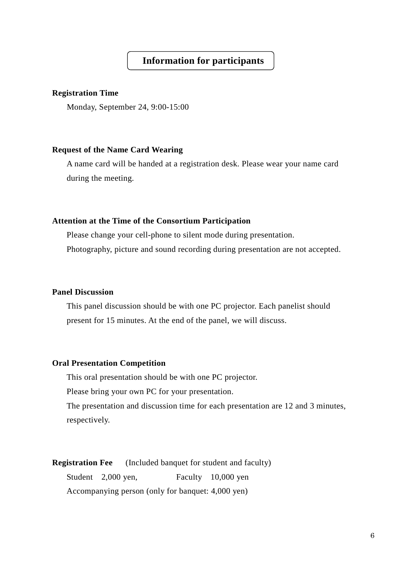### **Information for participants**

### **Registration Time**

Monday, September 24, 9:00-15:00

### **Request of the Name Card Wearing**

A name card will be handed at a registration desk. Please wear your name card during the meeting.

### **Attention at the Time of the Consortium Participation**

Please change your cell-phone to silent mode during presentation. Photography, picture and sound recording during presentation are not accepted.

### **Panel Discussion**

This panel discussion should be with one PC projector. Each panelist should present for 15 minutes. At the end of the panel, we will discuss.

### **Oral Presentation Competition**

This oral presentation should be with one PC projector.

Please bring your own PC for your presentation.

The presentation and discussion time for each presentation are 12 and 3 minutes, respectively.

**Registration Fee** (Included banquet for student and faculty) Student 2,000 yen, Faculty 10,000 yen Accompanying person (only for banquet: 4,000 yen)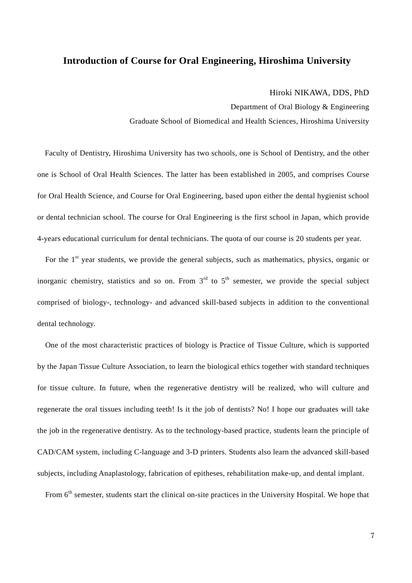### **Introduction of Course for Oral Engineering, Hiroshima University**

#### Hiroki NIKAWA, DDS, PhD

Department of Oral Biology & Engineering Graduate School of Biomedical and Health Sciences, Hiroshima University

 Faculty of Dentistry, Hiroshima University has two schools, one is School of Dentistry, and the other one is School of Oral Health Sciences. The latter has been established in 2005, and comprises Course for Oral Health Science, and Course for Oral Engineering, based upon either the dental hygienist school or dental technician school. The course for Oral Engineering is the first school in Japan, which provide 4-years educational curriculum for dental technicians. The quota of our course is 20 students per year.

For the  $1<sup>st</sup>$  year students, we provide the general subjects, such as mathematics, physics, organic or inorganic chemistry, statistics and so on. From  $3<sup>rd</sup>$  to  $5<sup>th</sup>$  semester, we provide the special subject comprised of biology-, technology- and advanced skill-based subjects in addition to the conventional dental technology.

 One of the most characteristic practices of biology is Practice of Tissue Culture, which is supported by the Japan Tissue Culture Association, to learn the biological ethics together with standard techniques for tissue culture. In future, when the regenerative dentistry will be realized, who will culture and regenerate the oral tissues including teeth! Is it the job of dentists? No! I hope our graduates will take the job in the regenerative dentistry. As to the technology-based practice, students learn the principle of CAD/CAM system, including C-language and 3-D printers. Students also learn the advanced skill-based subjects, including Anaplastology, fabrication of epitheses, rehabilitation make-up, and dental implant.

From 6<sup>th</sup> semester, students start the clinical on-site practices in the University Hospital. We hope that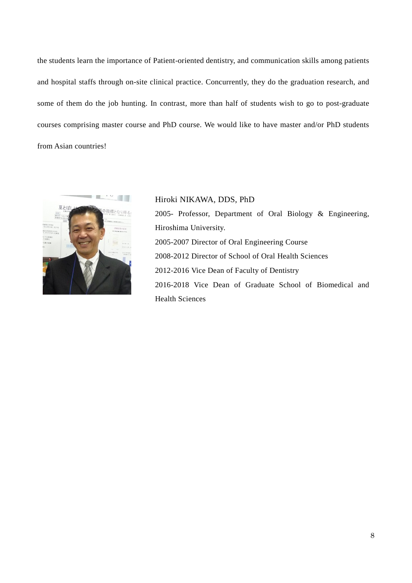the students learn the importance of Patient-oriented dentistry, and communication skills among patients and hospital staffs through on-site clinical practice. Concurrently, they do the graduation research, and some of them do the job hunting. In contrast, more than half of students wish to go to post-graduate courses comprising master course and PhD course. We would like to have master and/or PhD students from Asian countries!



Hiroki NIKAWA, DDS, PhD 2005- Professor, Department of Oral Biology & Engineering, Hiroshima University. 2005-2007 Director of Oral Engineering Course 2008-2012 Director of School of Oral Health Sciences 2012-2016 Vice Dean of Faculty of Dentistry 2016-2018 Vice Dean of Graduate School of Biomedical and Health Sciences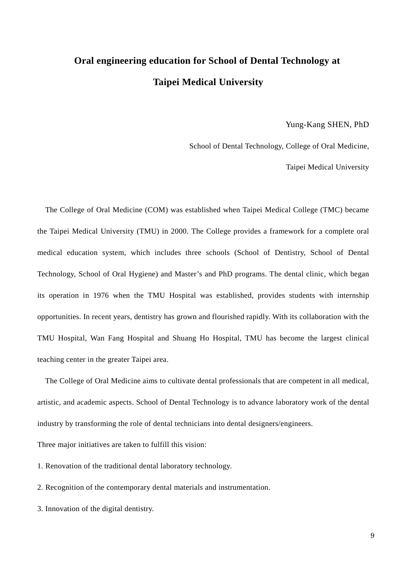# **Oral engineering education for School of Dental Technology at Taipei Medical University**

Yung-Kang SHEN, PhD

School of Dental Technology, College of Oral Medicine,

Taipei Medical University

The College of Oral Medicine (COM) was established when Taipei Medical College (TMC) became the Taipei Medical University (TMU) in 2000. The College provides a framework for a complete oral medical education system, which includes three schools (School of Dentistry, School of Dental Technology, School of Oral Hygiene) and Master's and PhD programs. The dental clinic, which began its operation in 1976 when the TMU Hospital was established, provides students with internship opportunities. In recent years, dentistry has grown and flourished rapidly. With its collaboration with the TMU Hospital, Wan Fang Hospital and Shuang Ho Hospital, TMU has become the largest clinical teaching center in the greater Taipei area.

The College of Oral Medicine aims to cultivate dental professionals that are competent in all medical, artistic, and academic aspects. School of Dental Technology is to advance laboratory work of the dental industry by transforming the role of dental technicians into dental designers/engineers.

Three major initiatives are taken to fulfill this vision:

1. Renovation of the traditional dental laboratory technology.

2. Recognition of the contemporary dental materials and instrumentation.

3. Innovation of the digital dentistry.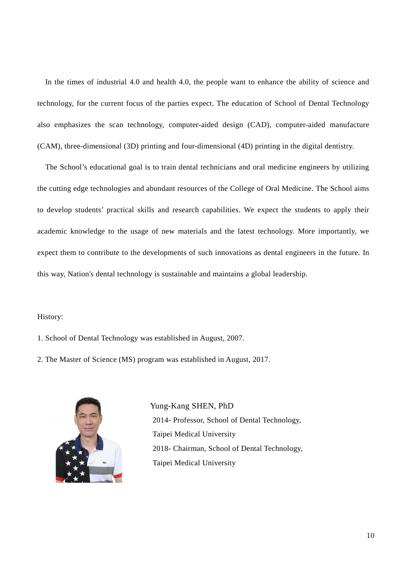In the times of industrial 4.0 and health 4.0, the people want to enhance the ability of science and technology, for the current focus of the parties expect. The education of School of Dental Technology also emphasizes the scan technology, computer-aided design (CAD), computer-aided manufacture (CAM), three-dimensional (3D) printing and four-dimensional (4D) printing in the digital dentistry.

The School's educational goal is to train dental technicians and oral medicine engineers by utilizing the cutting edge technologies and abundant resources of the College of Oral Medicine. The School aims to develop students' practical skills and research capabilities. We expect the students to apply their academic knowledge to the usage of new materials and the latest technology. More importantly, we expect them to contribute to the developments of such innovations as dental engineers in the future. In this way, Nation's dental technology is sustainable and maintains a global leadership.

#### History:

1. School of Dental Technology was established in August, 2007.

2. The Master of Science (MS) program was established in August, 2017.



Yung-Kang SHEN, PhD 2014- Professor, School of Dental Technology, Taipei Medical University 2018- Chairman, School of Dental Technology, Taipei Medical University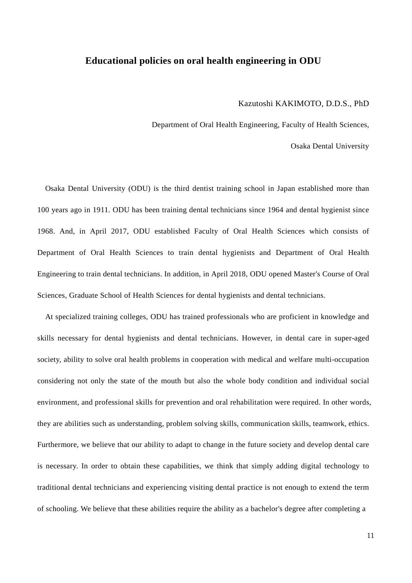### **Educational policies on oral health engineering in ODU**

#### Kazutoshi KAKIMOTO, D.D.S., PhD

Department of Oral Health Engineering, Faculty of Health Sciences,

Osaka Dental University

Osaka Dental University (ODU) is the third dentist training school in Japan established more than 100 years ago in 1911. ODU has been training dental technicians since 1964 and dental hygienist since 1968. And, in April 2017, ODU established Faculty of Oral Health Sciences which consists of Department of Oral Health Sciences to train dental hygienists and Department of Oral Health Engineering to train dental technicians. In addition, in April 2018, ODU opened Master's Course of Oral Sciences, Graduate School of Health Sciences for dental hygienists and dental technicians.

At specialized training colleges, ODU has trained professionals who are proficient in knowledge and skills necessary for dental hygienists and dental technicians. However, in dental care in super-aged society, ability to solve oral health problems in cooperation with medical and welfare multi-occupation considering not only the state of the mouth but also the whole body condition and individual social environment, and professional skills for prevention and oral rehabilitation were required. In other words, they are abilities such as understanding, problem solving skills, communication skills, teamwork, ethics. Furthermore, we believe that our ability to adapt to change in the future society and develop dental care is necessary. In order to obtain these capabilities, we think that simply adding digital technology to traditional dental technicians and experiencing visiting dental practice is not enough to extend the term of schooling. We believe that these abilities require the ability as a bachelor's degree after completing a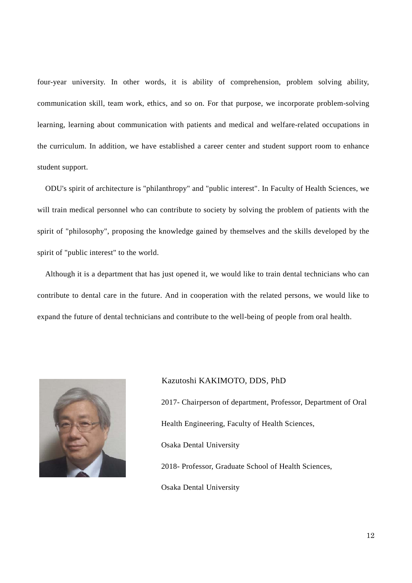four-year university. In other words, it is ability of comprehension, problem solving ability, communication skill, team work, ethics, and so on. For that purpose, we incorporate problem-solving learning, learning about communication with patients and medical and welfare-related occupations in the curriculum. In addition, we have established a career center and student support room to enhance student support.

ODU's spirit of architecture is "philanthropy" and "public interest". In Faculty of Health Sciences, we will train medical personnel who can contribute to society by solving the problem of patients with the spirit of "philosophy", proposing the knowledge gained by themselves and the skills developed by the spirit of "public interest" to the world.

Although it is a department that has just opened it, we would like to train dental technicians who can contribute to dental care in the future. And in cooperation with the related persons, we would like to expand the future of dental technicians and contribute to the well-being of people from oral health.



#### Kazutoshi KAKIMOTO, DDS, PhD

2017- Chairperson of department, Professor, Department of Oral Health Engineering, Faculty of Health Sciences, Osaka Dental University

2018- Professor, Graduate School of Health Sciences,

Osaka Dental University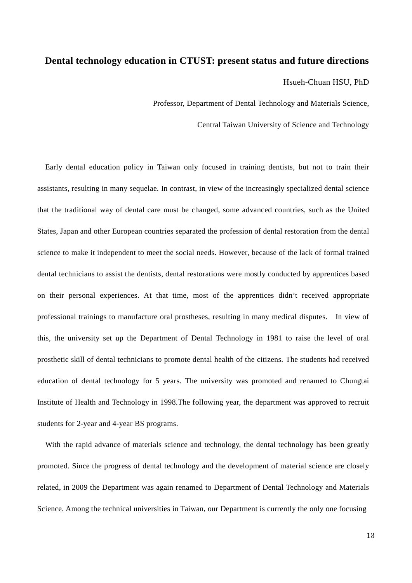### **Dental technology education in CTUST: present status and future directions**

Hsueh-Chuan HSU, PhD

Professor, Department of Dental Technology and Materials Science,

Central Taiwan University of Science and Technology

Early dental education policy in Taiwan only focused in training dentists, but not to train their assistants, resulting in many sequelae. In contrast, in view of the increasingly specialized dental science that the traditional way of dental care must be changed, some advanced countries, such as the United States, Japan and other European countries separated the profession of dental restoration from the dental science to make it independent to meet the social needs. However, because of the lack of formal trained dental technicians to assist the dentists, dental restorations were mostly conducted by apprentices based on their personal experiences. At that time, most of the apprentices didn't received appropriate professional trainings to manufacture oral prostheses, resulting in many medical disputes. In view of this, the university set up the Department of Dental Technology in 1981 to raise the level of oral prosthetic skill of dental technicians to promote dental health of the citizens. The students had received education of dental technology for 5 years. The university was promoted and renamed to Chungtai Institute of Health and Technology in 1998.The following year, the department was approved to recruit students for 2-year and 4-year BS programs.

With the rapid advance of materials science and technology, the dental technology has been greatly promoted. Since the progress of dental technology and the development of material science are closely related, in 2009 the Department was again renamed to Department of Dental Technology and Materials Science. Among the technical universities in Taiwan, our Department is currently the only one focusing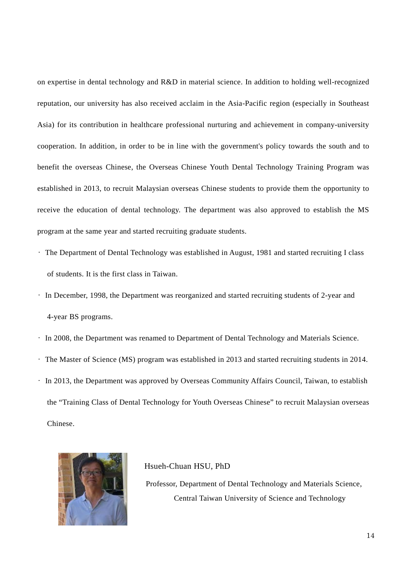on expertise in dental technology and R&D in material science. In addition to holding well-recognized reputation, our university has also received acclaim in the Asia-Pacific region (especially in Southeast Asia) for its contribution in healthcare professional nurturing and achievement in company-university cooperation. In addition, in order to be in line with the government's policy towards the south and to benefit the overseas Chinese, the Overseas Chinese Youth Dental Technology Training Program was established in 2013, to recruit Malaysian overseas Chinese students to provide them the opportunity to receive the education of dental technology. The department was also approved to establish the MS program at the same year and started recruiting graduate students.

- The Department of Dental Technology was established in August, 1981 and started recruiting I class of students. It is the first class in Taiwan.
- In December, 1998, the Department was reorganized and started recruiting students of 2-year and 4-year BS programs.
- In 2008, the Department was renamed to Department of Dental Technology and Materials Science.
- The Master of Science (MS) program was established in 2013 and started recruiting students in 2014.
- In 2013, the Department was approved by Overseas Community Affairs Council, Taiwan, to establish the "Training Class of Dental Technology for Youth Overseas Chinese" to recruit Malaysian overseas Chinese.



#### Hsueh-Chuan HSU, PhD

Professor, Department of Dental Technology and Materials Science, Central Taiwan University of Science and Technology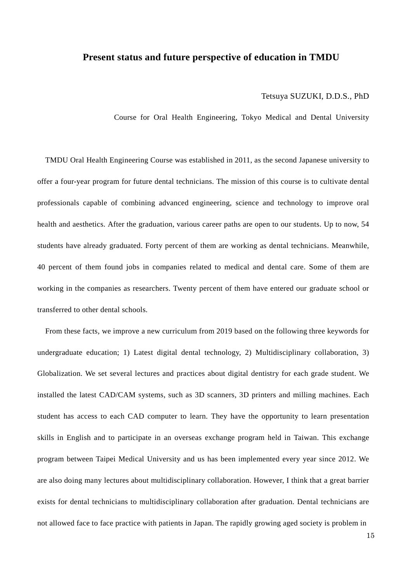### **Present status and future perspective of education in TMDU**

### Tetsuya SUZUKI, D.D.S., PhD

Course for Oral Health Engineering, Tokyo Medical and Dental University

TMDU Oral Health Engineering Course was established in 2011, as the second Japanese university to offer a four-year program for future dental technicians. The mission of this course is to cultivate dental professionals capable of combining advanced engineering, science and technology to improve oral health and aesthetics. After the graduation, various career paths are open to our students. Up to now, 54 students have already graduated. Forty percent of them are working as dental technicians. Meanwhile, 40 percent of them found jobs in companies related to medical and dental care. Some of them are working in the companies as researchers. Twenty percent of them have entered our graduate school or transferred to other dental schools.

From these facts, we improve a new curriculum from 2019 based on the following three keywords for undergraduate education; 1) Latest digital dental technology, 2) Multidisciplinary collaboration, 3) Globalization. We set several lectures and practices about digital dentistry for each grade student. We installed the latest CAD/CAM systems, such as 3D scanners, 3D printers and milling machines. Each student has access to each CAD computer to learn. They have the opportunity to learn presentation skills in English and to participate in an overseas exchange program held in Taiwan. This exchange program between Taipei Medical University and us has been implemented every year since 2012. We are also doing many lectures about multidisciplinary collaboration. However, I think that a great barrier exists for dental technicians to multidisciplinary collaboration after graduation. Dental technicians are not allowed face to face practice with patients in Japan. The rapidly growing aged society is problem in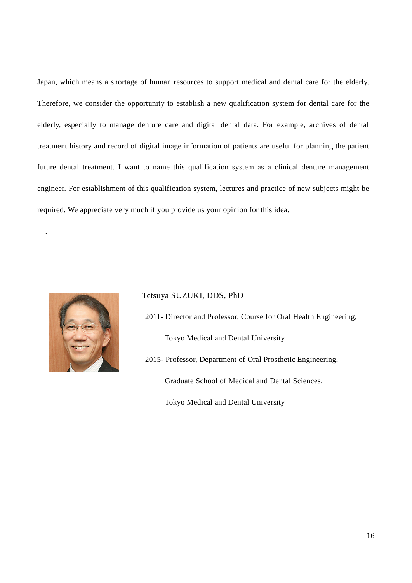Japan, which means a shortage of human resources to support medical and dental care for the elderly. Therefore, we consider the opportunity to establish a new qualification system for dental care for the elderly, especially to manage denture care and digital dental data. For example, archives of dental treatment history and record of digital image information of patients are useful for planning the patient future dental treatment. I want to name this qualification system as a clinical denture management engineer. For establishment of this qualification system, lectures and practice of new subjects might be required. We appreciate very much if you provide us your opinion for this idea.



.

### Tetsuya SUZUKI, DDS, PhD

2011- Director and Professor, Course for Oral Health Engineering,

Tokyo Medical and Dental University

2015- Professor, Department of Oral Prosthetic Engineering, Graduate School of Medical and Dental Sciences,

Tokyo Medical and Dental University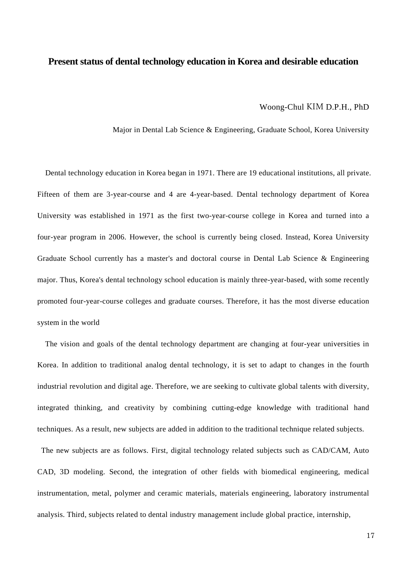### **Present status of dental technology education in Korea and desirable education**

#### Woong-Chul KIM D.P.H., PhD

Major in Dental Lab Science & Engineering, Graduate School, Korea University

Dental technology education in Korea began in 1971. There are 19 educational institutions, all private. Fifteen of them are 3-year-course and 4 are 4-year-based. Dental technology department of Korea University was established in 1971 as the first two-year-course college in Korea and turned into a four-year program in 2006. However, the school is currently being closed. Instead, Korea University Graduate School currently has a master's and doctoral course in Dental Lab Science & Engineering major. Thus, Korea's dental technology school education is mainly three-year-based, with some recently promoted four-year-course colleges and graduate courses. Therefore, it has the most diverse education system in the world

The vision and goals of the dental technology department are changing at four-year universities in Korea. In addition to traditional analog dental technology, it is set to adapt to changes in the fourth industrial revolution and digital age. Therefore, we are seeking to cultivate global talents with diversity, integrated thinking, and creativity by combining cutting-edge knowledge with traditional hand techniques. As a result, new subjects are added in addition to the traditional technique related subjects.

The new subjects are as follows. First, digital technology related subjects such as CAD/CAM, Auto CAD, 3D modeling. Second, the integration of other fields with biomedical engineering, medical instrumentation, metal, polymer and ceramic materials, materials engineering, laboratory instrumental analysis. Third, subjects related to dental industry management include global practice, internship,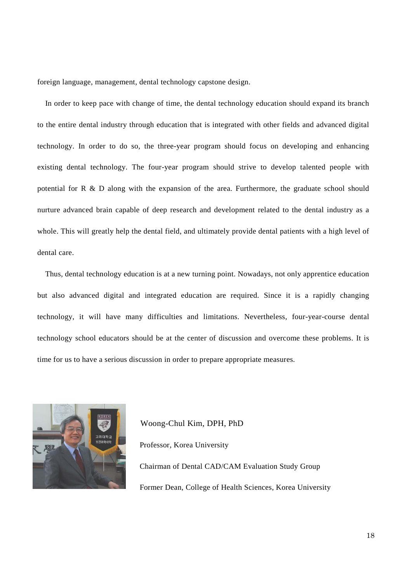foreign language, management, dental technology capstone design.

In order to keep pace with change of time, the dental technology education should expand its branch to the entire dental industry through education that is integrated with other fields and advanced digital technology. In order to do so, the three-year program should focus on developing and enhancing existing dental technology. The four-year program should strive to develop talented people with potential for R & D along with the expansion of the area. Furthermore, the graduate school should nurture advanced brain capable of deep research and development related to the dental industry as a whole. This will greatly help the dental field, and ultimately provide dental patients with a high level of dental care.

Thus, dental technology education is at a new turning point. Nowadays, not only apprentice education but also advanced digital and integrated education are required. Since it is a rapidly changing technology, it will have many difficulties and limitations. Nevertheless, four-year-course dental technology school educators should be at the center of discussion and overcome these problems. It is time for us to have a serious discussion in order to prepare appropriate measures.



Woong-Chul Kim, DPH, PhD Professor, Korea University Chairman of Dental CAD/CAM Evaluation Study Group Former Dean, College of Health Sciences, Korea University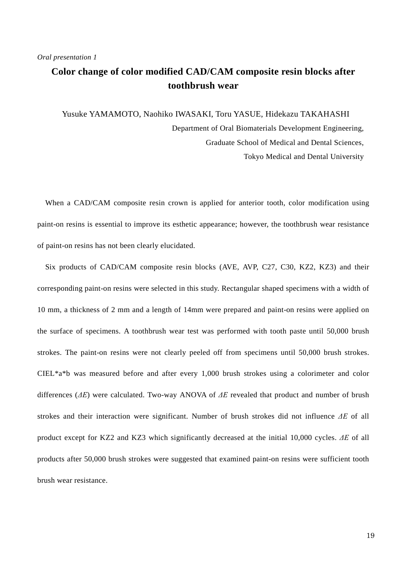### **Color change of color modified CAD/CAM composite resin blocks after toothbrush wear**

Yusuke YAMAMOTO, Naohiko IWASAKI, Toru YASUE, Hidekazu TAKAHASHI Department of Oral Biomaterials Development Engineering, Graduate School of Medical and Dental Sciences, Tokyo Medical and Dental University

When a CAD/CAM composite resin crown is applied for anterior tooth, color modification using paint-on resins is essential to improve its esthetic appearance; however, the toothbrush wear resistance of paint-on resins has not been clearly elucidated.

Six products of CAD/CAM composite resin blocks (AVE, AVP, C27, C30, KZ2, KZ3) and their corresponding paint-on resins were selected in this study. Rectangular shaped specimens with a width of 10 mm, a thickness of 2 mm and a length of 14mm were prepared and paint-on resins were applied on the surface of specimens. A toothbrush wear test was performed with tooth paste until 50,000 brush strokes. The paint-on resins were not clearly peeled off from specimens until 50,000 brush strokes. CIEL\*a\*b was measured before and after every 1,000 brush strokes using a colorimeter and color differences (*ΔE*) were calculated. Two-way ANOVA of *ΔE* revealed that product and number of brush strokes and their interaction were significant. Number of brush strokes did not influence *ΔE* of all product except for KZ2 and KZ3 which significantly decreased at the initial 10,000 cycles. *ΔE* of all products after 50,000 brush strokes were suggested that examined paint-on resins were sufficient tooth brush wear resistance.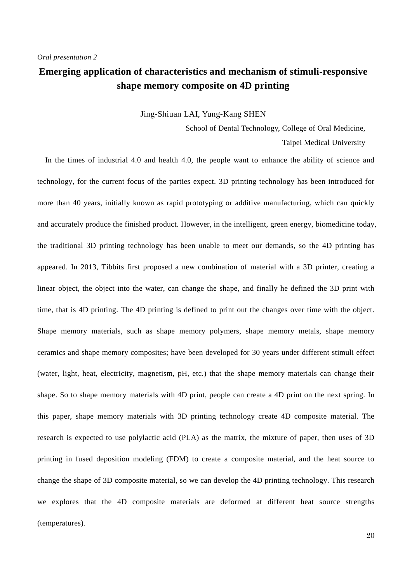### **Emerging application of characteristics and mechanism of stimuli-responsive shape memory composite on 4D printing**

### Jing-Shiuan LAI, Yung-Kang SHEN

School of Dental Technology, College of Oral Medicine,

Taipei Medical University

In the times of industrial 4.0 and health 4.0, the people want to enhance the ability of science and technology, for the current focus of the parties expect. 3D printing technology has been introduced for more than 40 years, initially known as rapid prototyping or additive manufacturing, which can quickly and accurately produce the finished product. However, in the intelligent, green energy, biomedicine today, the traditional 3D printing technology has been unable to meet our demands, so the 4D printing has appeared. In 2013, Tibbits first proposed a new combination of material with a 3D printer, creating a linear object, the object into the water, can change the shape, and finally he defined the 3D print with time, that is 4D printing. The 4D printing is defined to print out the changes over time with the object. Shape memory materials, such as shape memory polymers, shape memory metals, shape memory ceramics and shape memory composites; have been developed for 30 years under different stimuli effect (water, light, heat, electricity, magnetism, pH, etc.) that the shape memory materials can change their shape. So to shape memory materials with 4D print, people can create a 4D print on the next spring. In this paper, shape memory materials with 3D printing technology create 4D composite material. The research is expected to use polylactic acid (PLA) as the matrix, the mixture of paper, then uses of 3D printing in fused deposition modeling (FDM) to create a composite material, and the heat source to change the shape of 3D composite material, so we can develop the 4D printing technology. This research we explores that the 4D composite materials are deformed at different heat source strengths (temperatures).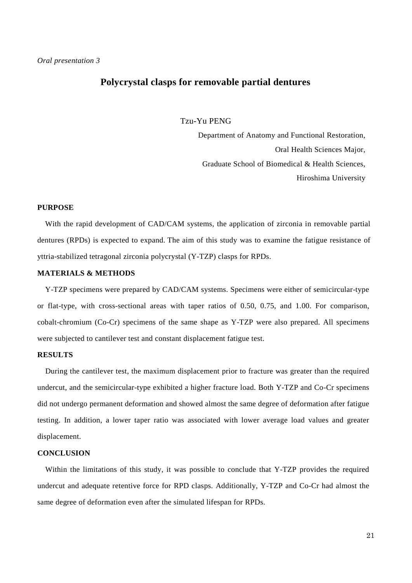### **Polycrystal clasps for removable partial dentures**

Tzu-Yu PENG

Department of Anatomy and Functional Restoration, Oral Health Sciences Major, Graduate School of Biomedical & Health Sciences, Hiroshima University

### **PURPOSE**

With the rapid development of CAD/CAM systems, the application of zirconia in removable partial dentures (RPDs) is expected to expand. The aim of this study was to examine the fatigue resistance of yttria-stabilized tetragonal zirconia polycrystal (Y-TZP) clasps for RPDs.

### **MATERIALS & METHODS**

Y-TZP specimens were prepared by CAD/CAM systems. Specimens were either of semicircular-type or flat-type, with cross-sectional areas with taper ratios of 0.50, 0.75, and 1.00. For comparison, cobalt-chromium (Co-Cr) specimens of the same shape as Y-TZP were also prepared. All specimens were subjected to cantilever test and constant displacement fatigue test.

### **RESULTS**

During the cantilever test, the maximum displacement prior to fracture was greater than the required undercut, and the semicircular-type exhibited a higher fracture load. Both Y-TZP and Co-Cr specimens did not undergo permanent deformation and showed almost the same degree of deformation after fatigue testing. In addition, a lower taper ratio was associated with lower average load values and greater displacement.

#### **CONCLUSION**

Within the limitations of this study, it was possible to conclude that Y-TZP provides the required undercut and adequate retentive force for RPD clasps. Additionally, Y-TZP and Co-Cr had almost the same degree of deformation even after the simulated lifespan for RPDs.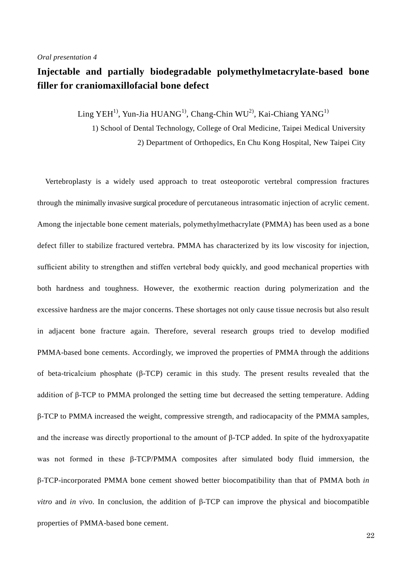### **Injectable and partially biodegradable polymethylmetacrylate-based bone filler for craniomaxillofacial bone defect**

 $\rm{Ling \ YEH^{1)}$ , Yun-Jia  $\rm{HUANG^{1)}}$ , Chang-Chin WU $^{2)}$ , Kai-Chiang  $\rm{YANG}^{1)}$ 

1) School of Dental Technology, College of Oral Medicine, Taipei Medical University 2) Department of Orthopedics, En Chu Kong Hospital, New Taipei City

Vertebroplasty is a widely used approach to treat osteoporotic vertebral compression fractures through the minimally invasive surgical procedure of percutaneous intrasomatic injection of acrylic cement. Among the injectable bone cement materials, polymethylmethacrylate (PMMA) has been used as a bone defect filler to stabilize fractured vertebra. PMMA has characterized by its low viscosity for injection, sufficient ability to strengthen and stiffen vertebral body quickly, and good mechanical properties with both hardness and toughness. However, the exothermic reaction during polymerization and the excessive hardness are the major concerns. These shortages not only cause tissue necrosis but also result in adjacent bone fracture again. Therefore, several research groups tried to develop modified PMMA-based bone cements. Accordingly, we improved the properties of PMMA through the additions of beta-tricalcium phosphate (β-TCP) ceramic in this study. The present results revealed that the addition of β-TCP to PMMA prolonged the setting time but decreased the setting temperature. Adding β-TCP to PMMA increased the weight, compressive strength, and radiocapacity of the PMMA samples, and the increase was directly proportional to the amount of β-TCP added. In spite of the hydroxyapatite was not formed in these β-TCP/PMMA composites after simulated body fluid immersion, the β-TCP-incorporated PMMA bone cement showed better biocompatibility than that of PMMA both *in vitro* and *in vivo*. In conclusion, the addition of β-TCP can improve the physical and biocompatible properties of PMMA-based bone cement.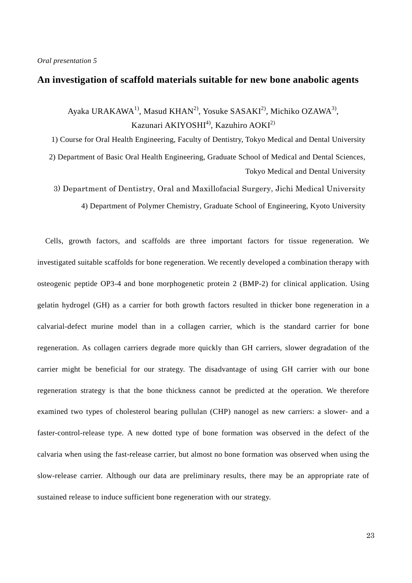### **An investigation of scaffold materials suitable for new bone anabolic agents**

Ayaka URAKAWA<sup>1)</sup>, Masud KHAN<sup>2)</sup>, Yosuke SASAKI<sup>2)</sup>, Michiko OZAWA<sup>3)</sup>, Kazunari AKIYOSHI $^{4}$ ), Kazuhiro AOKI $^{2}$ )

1) Course for Oral Health Engineering, Faculty of Dentistry, Tokyo Medical and Dental University

2) Department of Basic Oral Health Engineering, Graduate School of Medical and Dental Sciences, Tokyo Medical and Dental University

3) Department of Dentistry, Oral and Maxillofacial Surgery, Jichi Medical University 4) Department of Polymer Chemistry, Graduate School of Engineering, Kyoto University

Cells, growth factors, and scaffolds are three important factors for tissue regeneration. We investigated suitable scaffolds for bone regeneration. We recently developed a combination therapy with osteogenic peptide OP3-4 and bone morphogenetic protein 2 (BMP-2) for clinical application. Using gelatin hydrogel (GH) as a carrier for both growth factors resulted in thicker bone regeneration in a calvarial-defect murine model than in a collagen carrier, which is the standard carrier for bone regeneration. As collagen carriers degrade more quickly than GH carriers, slower degradation of the carrier might be beneficial for our strategy. The disadvantage of using GH carrier with our bone regeneration strategy is that the bone thickness cannot be predicted at the operation. We therefore examined two types of cholesterol bearing pullulan (CHP) nanogel as new carriers: a slower- and a faster-control-release type. A new dotted type of bone formation was observed in the defect of the calvaria when using the fast-release carrier, but almost no bone formation was observed when using the slow-release carrier. Although our data are preliminary results, there may be an appropriate rate of sustained release to induce sufficient bone regeneration with our strategy.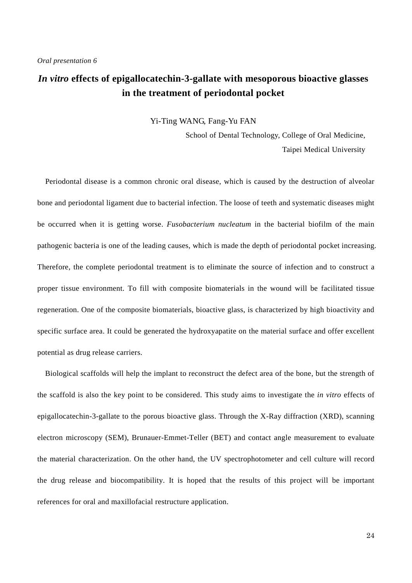### *In vitro* **effects of epigallocatechin-3-gallate with mesoporous bioactive glasses in the treatment of periodontal pocket**

Yi-Ting WANG, Fang-Yu FAN

School of Dental Technology, College of Oral Medicine, Taipei Medical University

Periodontal disease is a common chronic oral disease, which is caused by the destruction of alveolar bone and periodontal ligament due to bacterial infection. The loose of teeth and systematic diseases might be occurred when it is getting worse. *Fusobacterium nucleatum* in the bacterial biofilm of the main pathogenic bacteria is one of the leading causes, which is made the depth of periodontal pocket increasing. Therefore, the complete periodontal treatment is to eliminate the source of infection and to construct a proper tissue environment. To fill with composite biomaterials in the wound will be facilitated tissue regeneration. One of the composite biomaterials, bioactive glass, is characterized by high bioactivity and specific surface area. It could be generated the hydroxyapatite on the material surface and offer excellent potential as drug release carriers.

Biological scaffolds will help the implant to reconstruct the defect area of the bone, but the strength of the scaffold is also the key point to be considered. This study aims to investigate the *in vitro* effects of epigallocatechin-3-gallate to the porous bioactive glass. Through the X-Ray diffraction (XRD), scanning electron microscopy (SEM), Brunauer-Emmet-Teller (BET) and contact angle measurement to evaluate the material characterization. On the other hand, the UV spectrophotometer and cell culture will record the drug release and biocompatibility. It is hoped that the results of this project will be important references for oral and maxillofacial restructure application.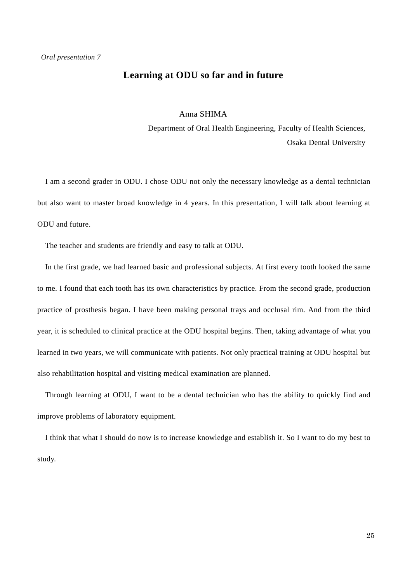### **Learning at ODU so far and in future**

### Anna SHIMA

Department of Oral Health Engineering, Faculty of Health Sciences, Osaka Dental University

I am a second grader in ODU. I chose ODU not only the necessary knowledge as a dental technician but also want to master broad knowledge in 4 years. In this presentation, I will talk about learning at ODU and future.

The teacher and students are friendly and easy to talk at ODU.

In the first grade, we had learned basic and professional subjects. At first every tooth looked the same to me. I found that each tooth has its own characteristics by practice. From the second grade, production practice of prosthesis began. I have been making personal trays and occlusal rim. And from the third year, it is scheduled to clinical practice at the ODU hospital begins. Then, taking advantage of what you learned in two years, we will communicate with patients. Not only practical training at ODU hospital but also rehabilitation hospital and visiting medical examination are planned.

Through learning at ODU, I want to be a dental technician who has the ability to quickly find and improve problems of laboratory equipment.

I think that what I should do now is to increase knowledge and establish it. So I want to do my best to study.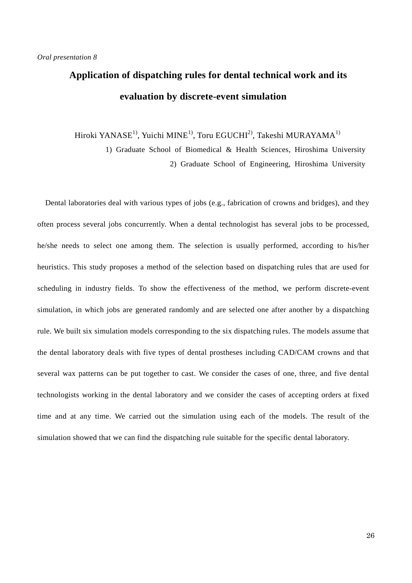# **Application of dispatching rules for dental technical work and its evaluation by discrete-event simulation**

Hiroki YANASE<sup>1)</sup>, Yuichi MINE<sup>1)</sup>, Toru EGUCHI<sup>2)</sup>, Takeshi MURAYAMA<sup>1)</sup>

1) Graduate School of Biomedical & Health Sciences, Hiroshima University 2) Graduate School of Engineering, Hiroshima University

Dental laboratories deal with various types of jobs (e.g., fabrication of crowns and bridges), and they often process several jobs concurrently. When a dental technologist has several jobs to be processed, he/she needs to select one among them. The selection is usually performed, according to his/her heuristics. This study proposes a method of the selection based on dispatching rules that are used for scheduling in industry fields. To show the effectiveness of the method, we perform discrete-event simulation, in which jobs are generated randomly and are selected one after another by a dispatching rule. We built six simulation models corresponding to the six dispatching rules. The models assume that the dental laboratory deals with five types of dental prostheses including CAD/CAM crowns and that several wax patterns can be put together to cast. We consider the cases of one, three, and five dental technologists working in the dental laboratory and we consider the cases of accepting orders at fixed time and at any time. We carried out the simulation using each of the models. The result of the simulation showed that we can find the dispatching rule suitable for the specific dental laboratory.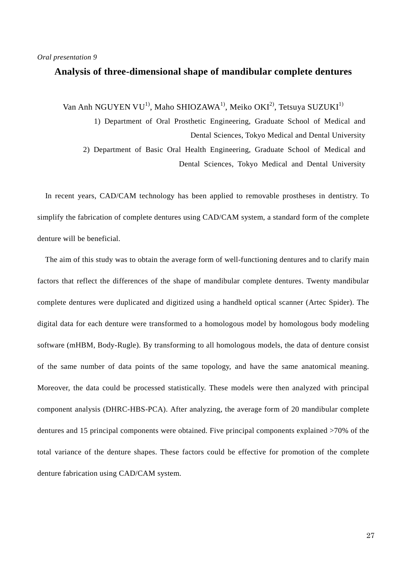### **Analysis of three-dimensional shape of mandibular complete dentures**

Van Anh NGUYEN VU<sup>1)</sup>, Maho SHIOZAWA<sup>1)</sup>, Meiko OKI<sup>2)</sup>, Tetsuya SUZUKI<sup>1)</sup>

1) Department of Oral Prosthetic Engineering, Graduate School of Medical and Dental Sciences, Tokyo Medical and Dental University 2) Department of Basic Oral Health Engineering, Graduate School of Medical and Dental Sciences, Tokyo Medical and Dental University

In recent years, CAD/CAM technology has been applied to removable prostheses in dentistry. To simplify the fabrication of complete dentures using CAD/CAM system, a standard form of the complete denture will be beneficial.

The aim of this study was to obtain the average form of well-functioning dentures and to clarify main factors that reflect the differences of the shape of mandibular complete dentures. Twenty mandibular complete dentures were duplicated and digitized using a handheld optical scanner (Artec Spider). The digital data for each denture were transformed to a homologous model by homologous body modeling software (mHBM, Body-Rugle). By transforming to all homologous models, the data of denture consist of the same number of data points of the same topology, and have the same anatomical meaning. Moreover, the data could be processed statistically. These models were then analyzed with principal component analysis (DHRC-HBS-PCA). After analyzing, the average form of 20 mandibular complete dentures and 15 principal components were obtained. Five principal components explained >70% of the total variance of the denture shapes. These factors could be effective for promotion of the complete denture fabrication using CAD/CAM system.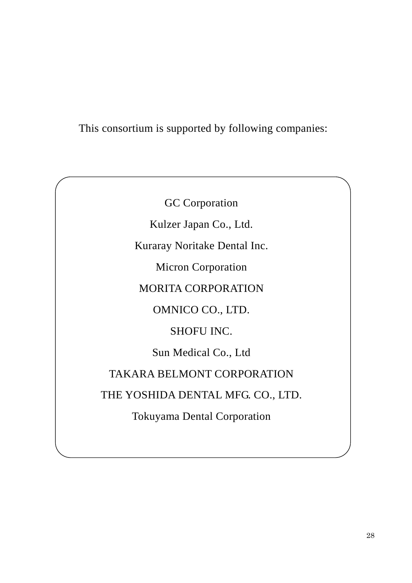### This consortium is supported by following companies:

GC Corporation Kulzer Japan Co., Ltd. Kuraray Noritake Dental Inc. Micron Corporation MORITA CORPORATION OMNICO CO., LTD. SHOFU INC. Sun Medical Co., Ltd TAKARA BELMONT CORPORATION THE YOSHIDA DENTAL MFG. CO., LTD. Tokuyama Dental Corporation